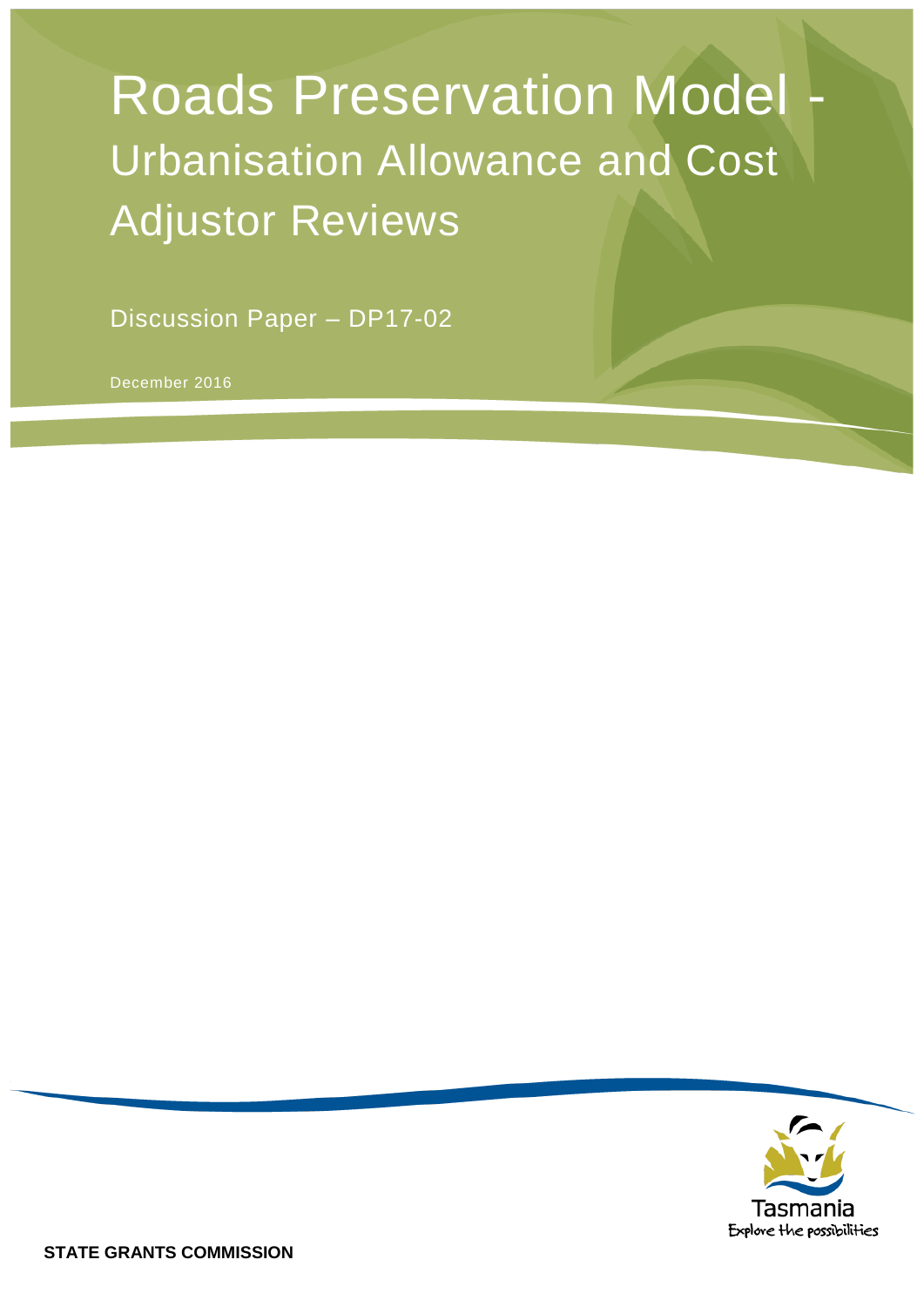# **Roads Preservation Model** Urbanisation Allowance and Cost Adjustor Reviews

Discussion Paper – DP17-02

December 2016

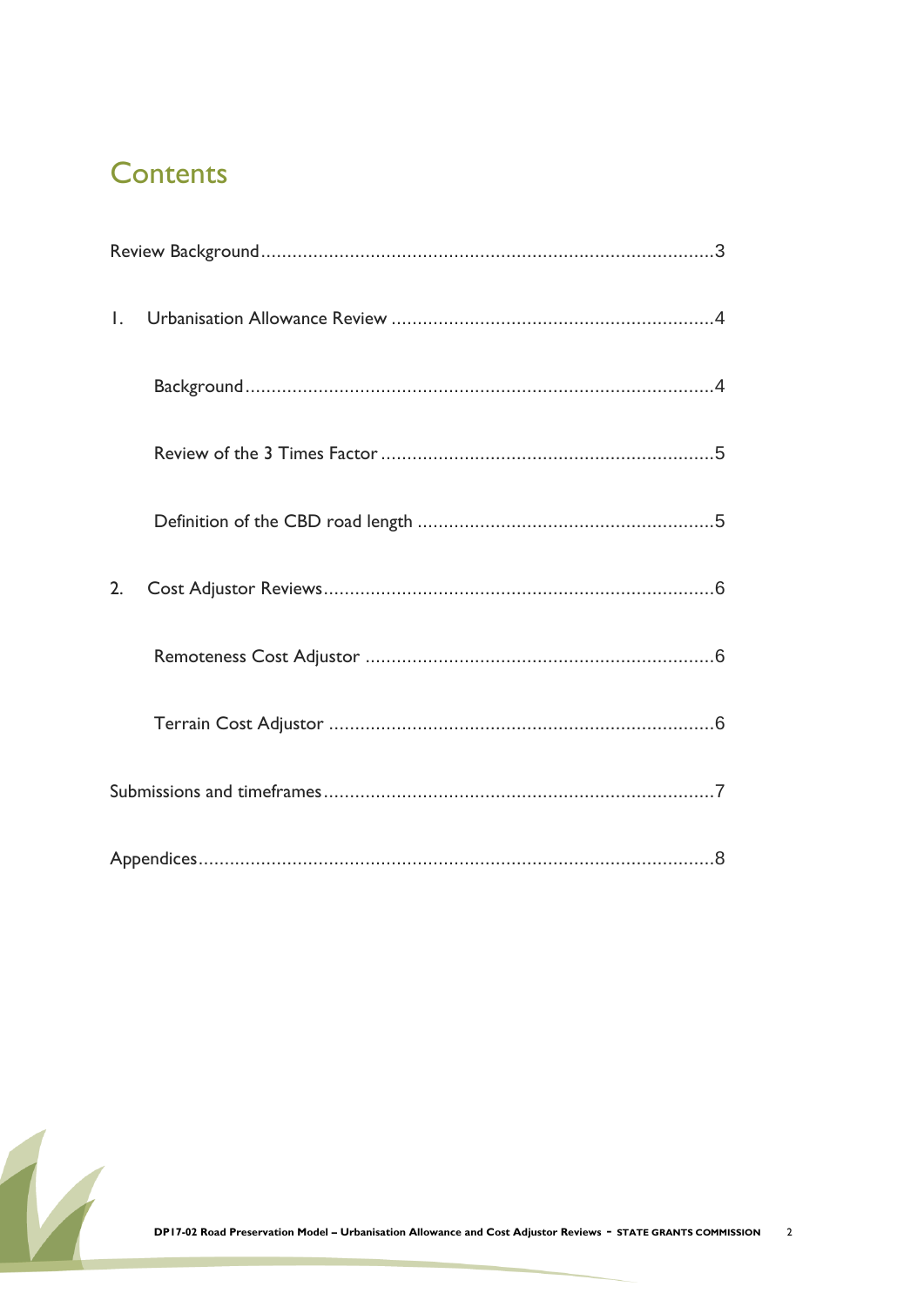### **Contents**

| $\mathsf{L}$ |  |
|--------------|--|
|              |  |
|              |  |
|              |  |
| 2.           |  |
|              |  |
|              |  |
|              |  |
|              |  |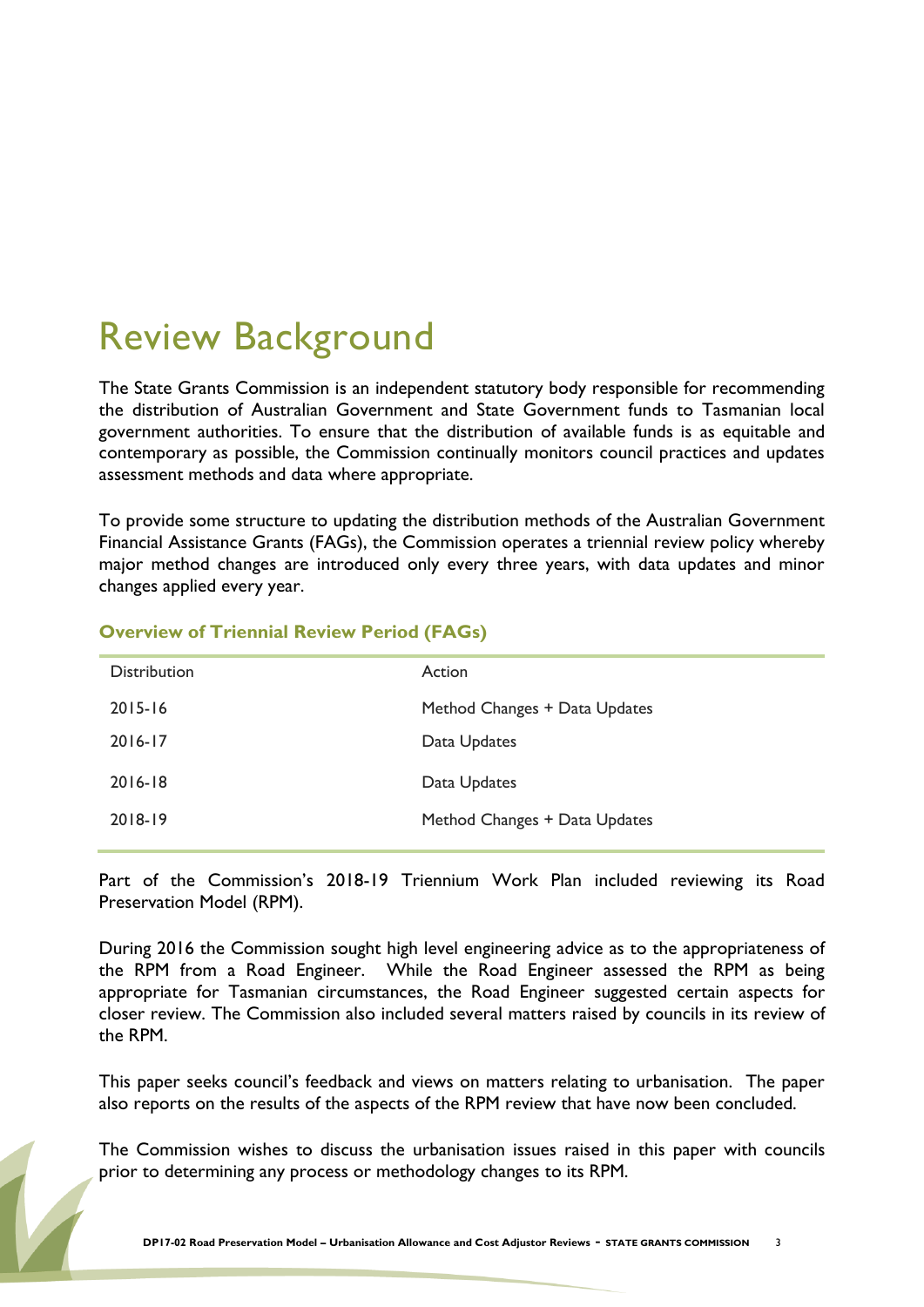## <span id="page-2-0"></span>Review Background

The State Grants Commission is an independent statutory body responsible for recommending the distribution of Australian Government and State Government funds to Tasmanian local government authorities. To ensure that the distribution of available funds is as equitable and contemporary as possible, the Commission continually monitors council practices and updates assessment methods and data where appropriate.

To provide some structure to updating the distribution methods of the Australian Government Financial Assistance Grants (FAGs), the Commission operates a triennial review policy whereby major method changes are introduced only every three years, with data updates and minor changes applied every year.

| <b>Distribution</b> | Action                        |
|---------------------|-------------------------------|
| $2015 - 16$         | Method Changes + Data Updates |
| $2016 - 17$         | Data Updates                  |
| $2016 - 18$         | Data Updates                  |
| 2018-19             | Method Changes + Data Updates |
|                     |                               |

#### **Overview of Triennial Review Period (FAGs)**

Part of the Commission's 2018-19 Triennium Work Plan included reviewing its Road Preservation Model (RPM).

During 2016 the Commission sought high level engineering advice as to the appropriateness of the RPM from a Road Engineer. While the Road Engineer assessed the RPM as being appropriate for Tasmanian circumstances, the Road Engineer suggested certain aspects for closer review. The Commission also included several matters raised by councils in its review of the RPM.

This paper seeks council's feedback and views on matters relating to urbanisation. The paper also reports on the results of the aspects of the RPM review that have now been concluded.

The Commission wishes to discuss the urbanisation issues raised in this paper with councils prior to determining any process or methodology changes to its RPM.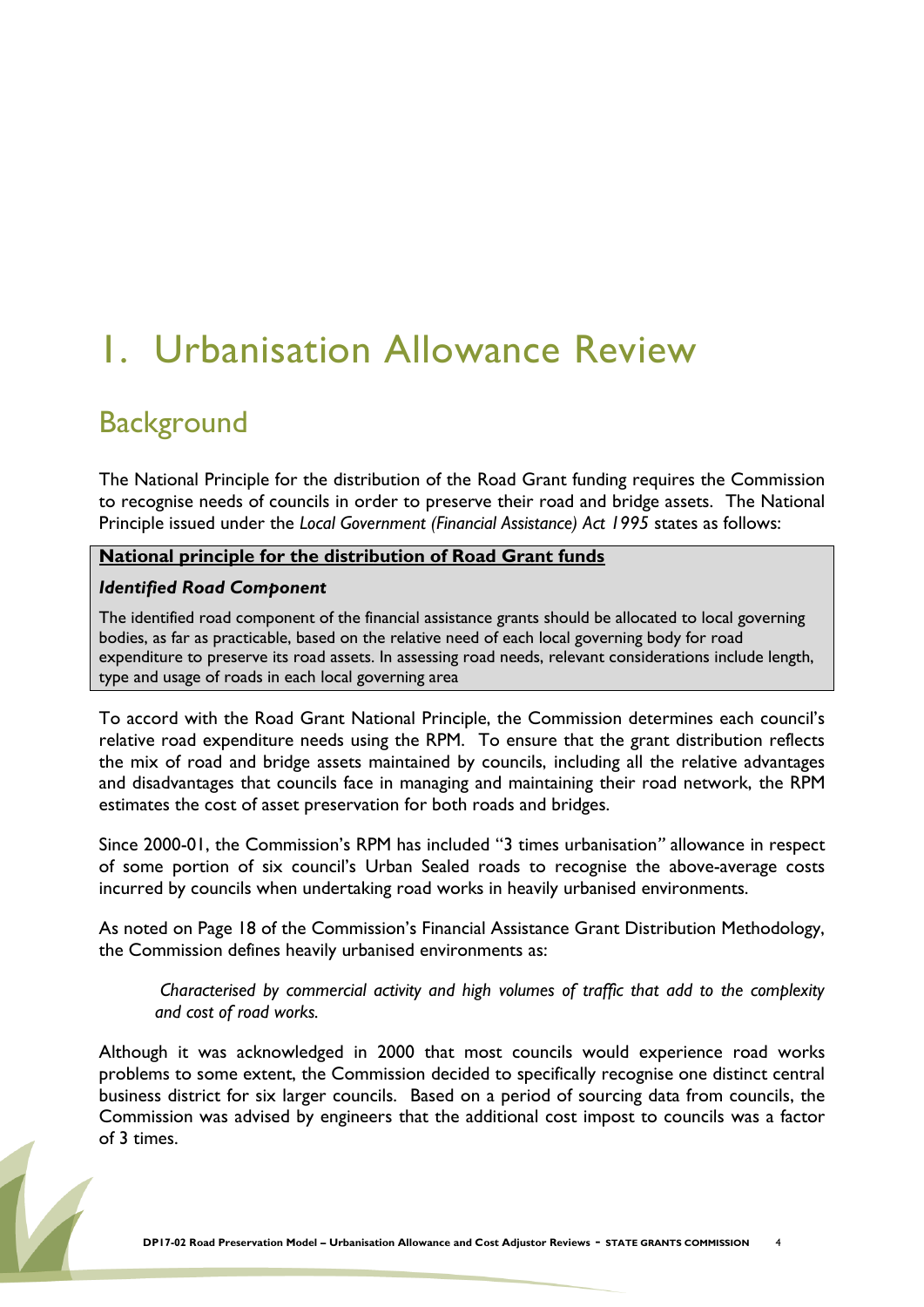## <span id="page-3-0"></span>1. Urbanisation Allowance Review

### <span id="page-3-1"></span>**Background**

The National Principle for the distribution of the Road Grant funding requires the Commission to recognise needs of councils in order to preserve their road and bridge assets. The National Principle issued under the *Local Government (Financial Assistance) Act 1995* states as follows:

#### **National principle for the distribution of Road Grant funds**

#### *Identified Road Component*

The identified road component of the financial assistance grants should be allocated to local governing bodies, as far as practicable, based on the relative need of each local governing body for road expenditure to preserve its road assets. In assessing road needs, relevant considerations include length, type and usage of roads in each local governing area

To accord with the Road Grant National Principle, the Commission determines each council's relative road expenditure needs using the RPM. To ensure that the grant distribution reflects the mix of road and bridge assets maintained by councils, including all the relative advantages and disadvantages that councils face in managing and maintaining their road network, the RPM estimates the cost of asset preservation for both roads and bridges.

Since 2000-01, the Commission's RPM has included "3 times urbanisation*"* allowance in respect of some portion of six council's Urban Sealed roads to recognise the above-average costs incurred by councils when undertaking road works in heavily urbanised environments.

As noted on Page 18 of the Commission's Financial Assistance Grant Distribution Methodology, the Commission defines heavily urbanised environments as:

*Characterised by commercial activity and high volumes of traffic that add to the complexity and cost of road works.* 

Although it was acknowledged in 2000 that most councils would experience road works problems to some extent, the Commission decided to specifically recognise one distinct central business district for six larger councils. Based on a period of sourcing data from councils, the Commission was advised by engineers that the additional cost impost to councils was a factor of 3 times.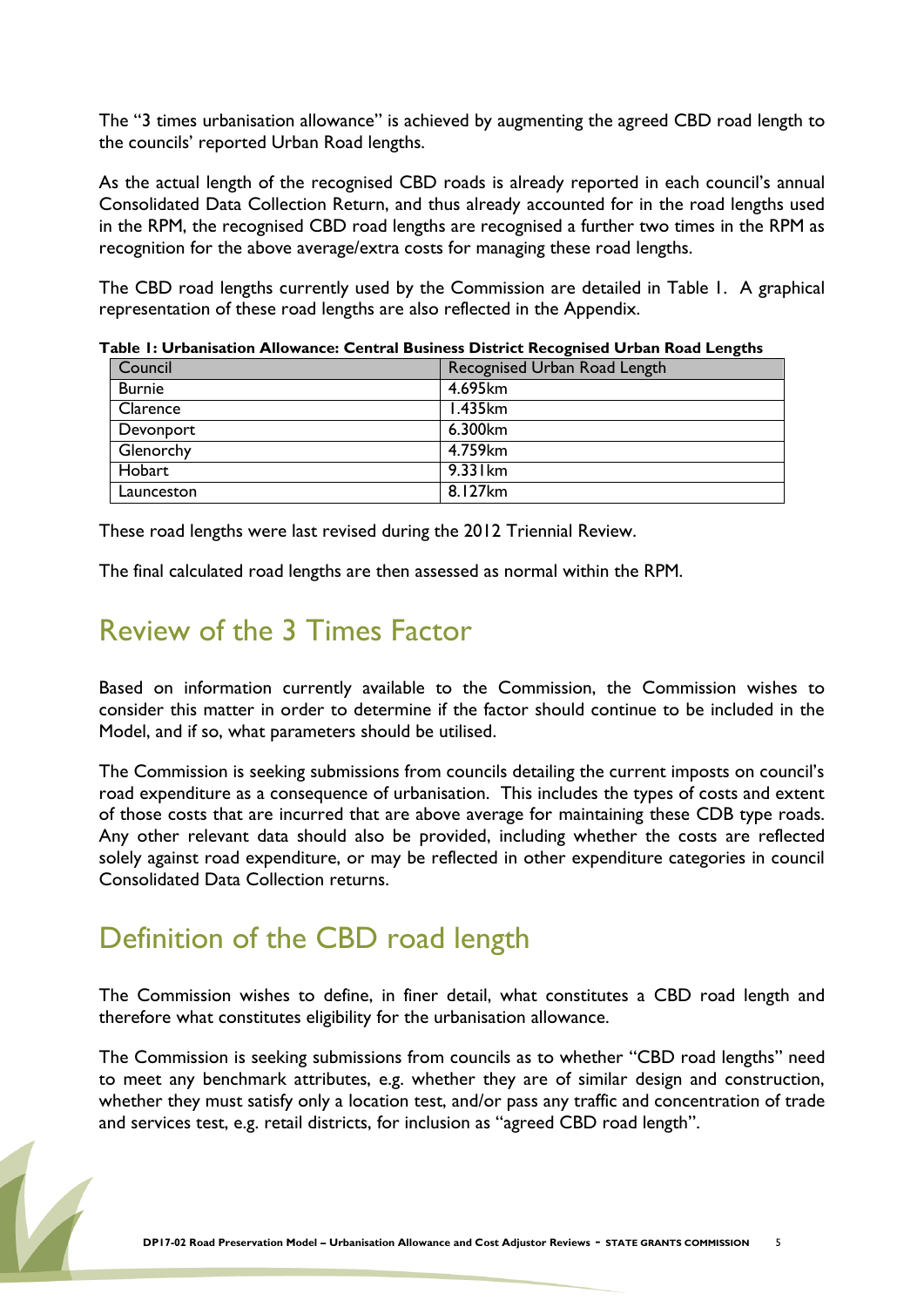The "3 times urbanisation allowance" is achieved by augmenting the agreed CBD road length to the councils' reported Urban Road lengths.

As the actual length of the recognised CBD roads is already reported in each council's annual Consolidated Data Collection Return, and thus already accounted for in the road lengths used in the RPM, the recognised CBD road lengths are recognised a further two times in the RPM as recognition for the above average/extra costs for managing these road lengths.

The CBD road lengths currently used by the Commission are detailed in Table 1. A graphical representation of these road lengths are also reflected in the Appendix.

| Council       | Recognised Urban Road Length |
|---------------|------------------------------|
| <b>Burnie</b> | 4.695km                      |
| Clarence      | 1.435km                      |
| Devonport     | 6.300km                      |
| Glenorchy     | 4.759km                      |
| Hobart        | $9.33$ km                    |
| Launceston    | 8.127km                      |

**Table 1: Urbanisation Allowance: Central Business District Recognised Urban Road Lengths**

These road lengths were last revised during the 2012 Triennial Review.

<span id="page-4-0"></span>The final calculated road lengths are then assessed as normal within the RPM.

### Review of the 3 Times Factor

Based on information currently available to the Commission, the Commission wishes to consider this matter in order to determine if the factor should continue to be included in the Model, and if so, what parameters should be utilised.

The Commission is seeking submissions from councils detailing the current imposts on council's road expenditure as a consequence of urbanisation. This includes the types of costs and extent of those costs that are incurred that are above average for maintaining these CDB type roads. Any other relevant data should also be provided, including whether the costs are reflected solely against road expenditure, or may be reflected in other expenditure categories in council Consolidated Data Collection returns.

### <span id="page-4-1"></span>Definition of the CBD road length

The Commission wishes to define, in finer detail, what constitutes a CBD road length and therefore what constitutes eligibility for the urbanisation allowance.

The Commission is seeking submissions from councils as to whether "CBD road lengths" need to meet any benchmark attributes, e.g. whether they are of similar design and construction, whether they must satisfy only a location test, and/or pass any traffic and concentration of trade and services test, e.g. retail districts, for inclusion as "agreed CBD road length".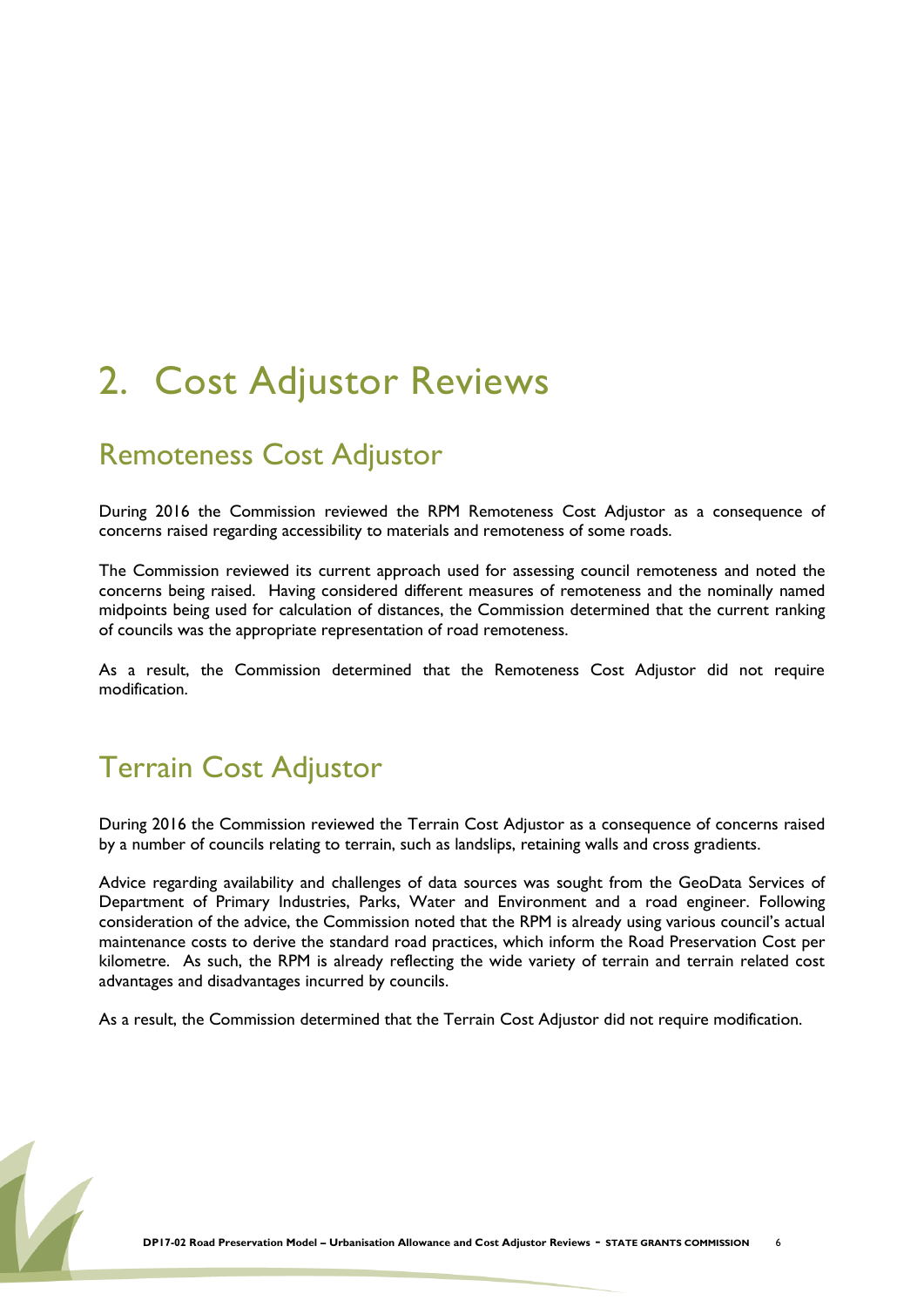## <span id="page-5-0"></span>2. Cost Adjustor Reviews

### <span id="page-5-1"></span>Remoteness Cost Adjustor

During 2016 the Commission reviewed the RPM Remoteness Cost Adjustor as a consequence of concerns raised regarding accessibility to materials and remoteness of some roads.

The Commission reviewed its current approach used for assessing council remoteness and noted the concerns being raised. Having considered different measures of remoteness and the nominally named midpoints being used for calculation of distances, the Commission determined that the current ranking of councils was the appropriate representation of road remoteness.

As a result, the Commission determined that the Remoteness Cost Adjustor did not require modification.

### <span id="page-5-2"></span>Terrain Cost Adjustor

During 2016 the Commission reviewed the Terrain Cost Adjustor as a consequence of concerns raised by a number of councils relating to terrain, such as landslips, retaining walls and cross gradients.

Advice regarding availability and challenges of data sources was sought from the GeoData Services of Department of Primary Industries, Parks, Water and Environment and a road engineer. Following consideration of the advice, the Commission noted that the RPM is already using various council's actual maintenance costs to derive the standard road practices, which inform the Road Preservation Cost per kilometre. As such, the RPM is already reflecting the wide variety of terrain and terrain related cost advantages and disadvantages incurred by councils.

As a result, the Commission determined that the Terrain Cost Adjustor did not require modification.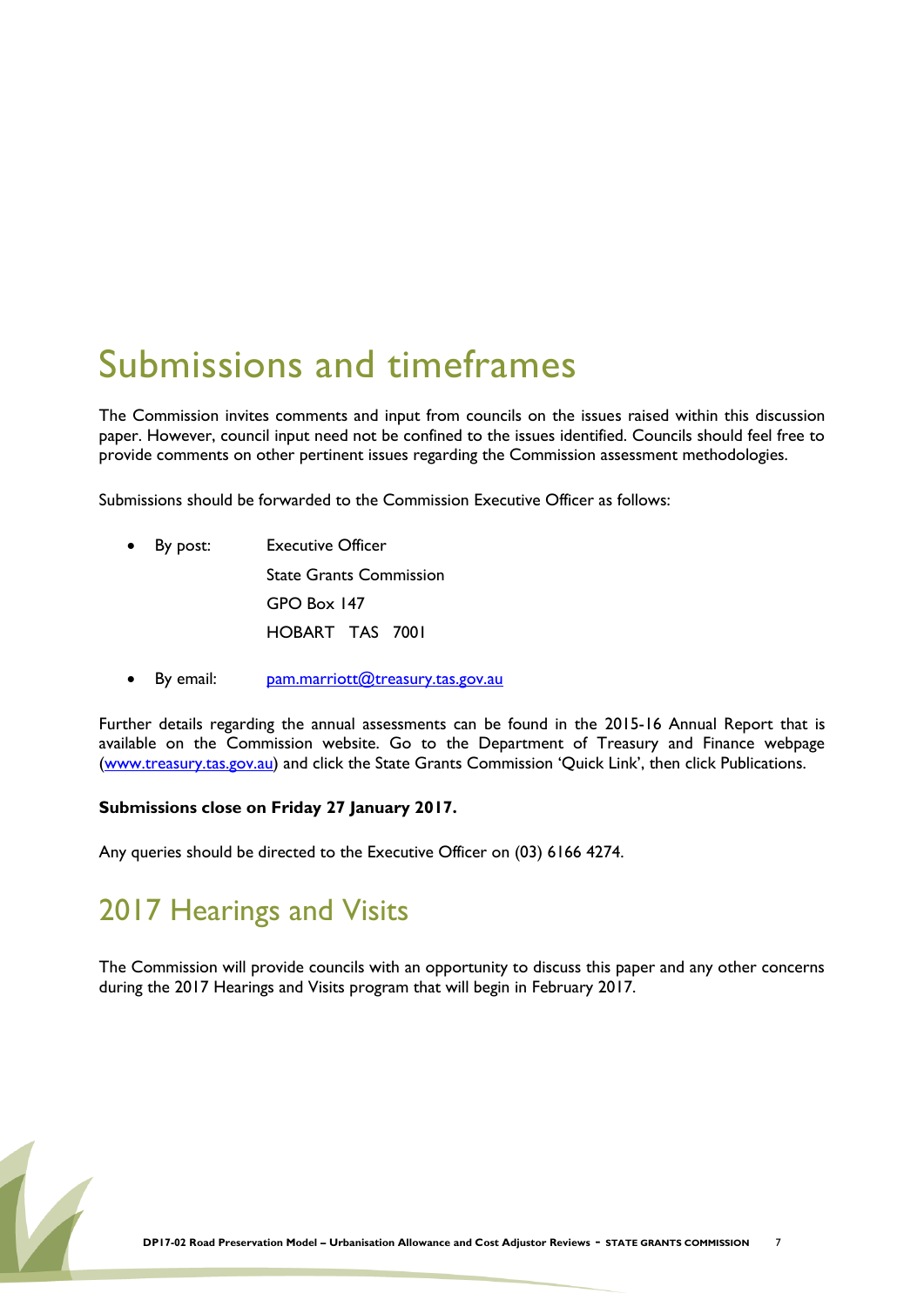## <span id="page-6-0"></span>Submissions and timeframes

The Commission invites comments and input from councils on the issues raised within this discussion paper. However, council input need not be confined to the issues identified. Councils should feel free to provide comments on other pertinent issues regarding the Commission assessment methodologies.

Submissions should be forwarded to the Commission Executive Officer as follows:

- By post: Executive Officer State Grants Commission GPO Box 147 HOBART TAS 7001
- $\bullet$  By email: [pam.marriott@treasury.tas.gov.au](mailto:pam.marriott@treasury.tas.gov.au)

Further details regarding the annual assessments can be found in the 2015-16 Annual Report that is available on the Commission website. Go to the Department of Treasury and Finance webpage [\(www.treasury.tas.gov.au](http://www.treasury.tas.gov.au/)) and click the State Grants Commission 'Quick Link', then click Publications.

#### **Submissions close on Friday 27 January 2017.**

Any queries should be directed to the Executive Officer on (03) 6166 4274.

### 2017 Hearings and Visits

The Commission will provide councils with an opportunity to discuss this paper and any other concerns during the 2017 Hearings and Visits program that will begin in February 2017.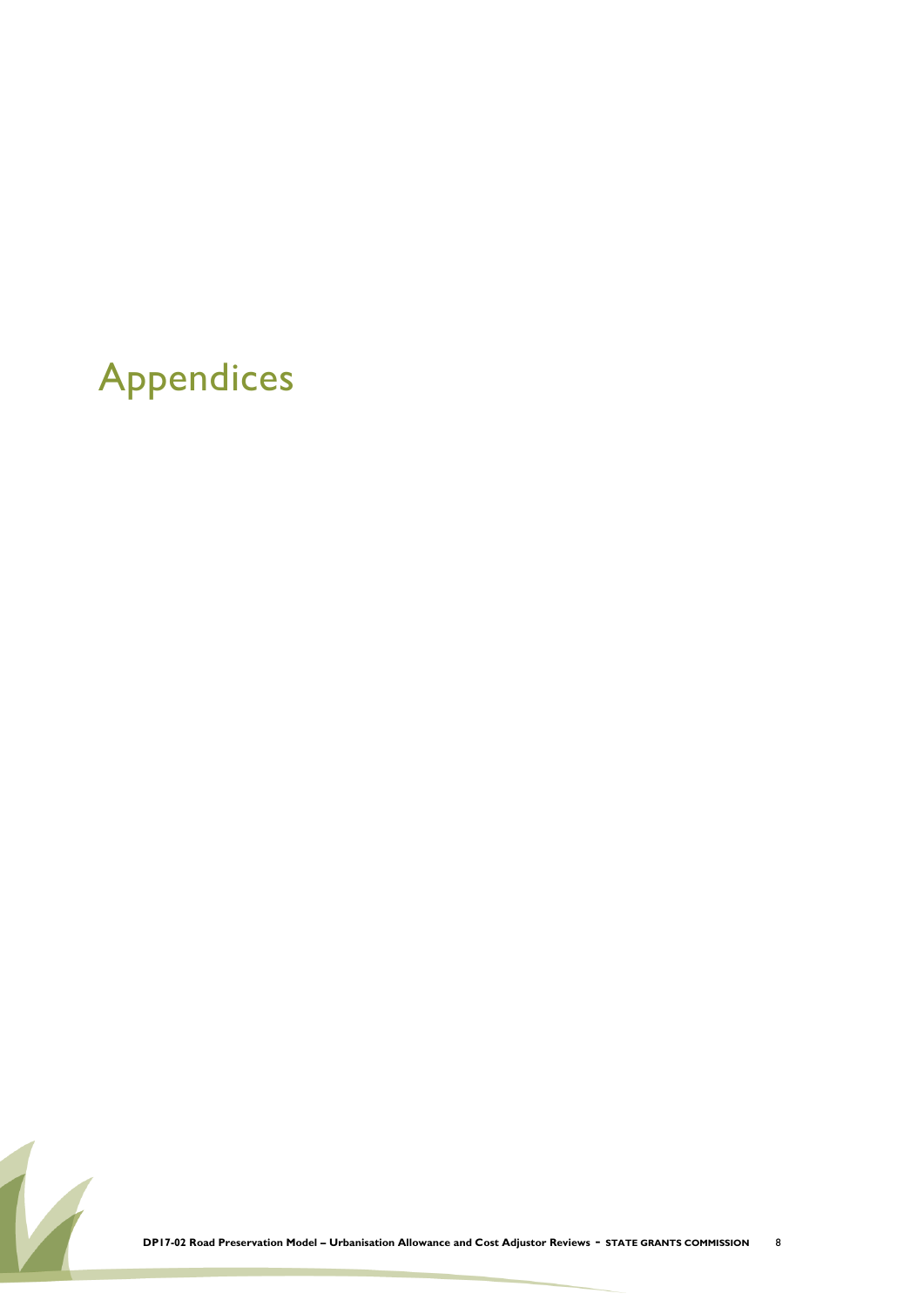## <span id="page-7-0"></span>Appendices

**DP17-02 Road Preservation Model – Urbanisation Allowance and Cost Adjustor Reviews** - **STATE GRANTS COMMISSION** <sup>8</sup>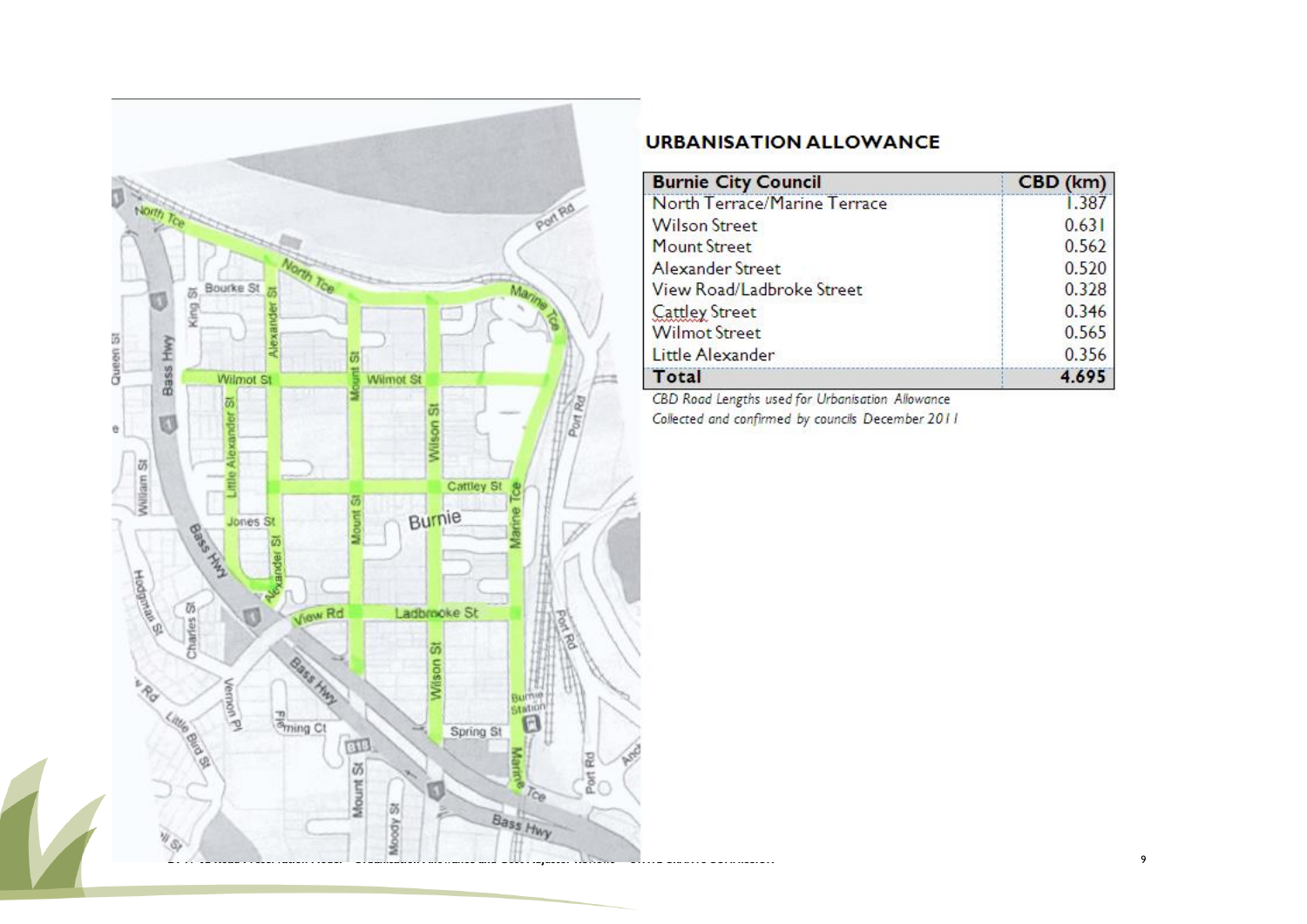

| <b>Burnie City Council</b>   | CBD (km) |
|------------------------------|----------|
| North Terrace/Marine Terrace | 1.387    |
| <b>Wilson Street</b>         | 0.631    |
| <b>Mount Street</b>          | 0.562    |
| Alexander Street             | 0.520    |
| View Road/Ladbroke Street    | 0.328    |
| <b>Cattley Street</b>        | 0.346    |
| <b>Wilmot Street</b>         | 0.565    |
| Little Alexander             | 0.356    |
| Total                        | 4.695    |

CBD Road Lengths used for Urbanisation Allowance Collected and confirmed by councils December 2011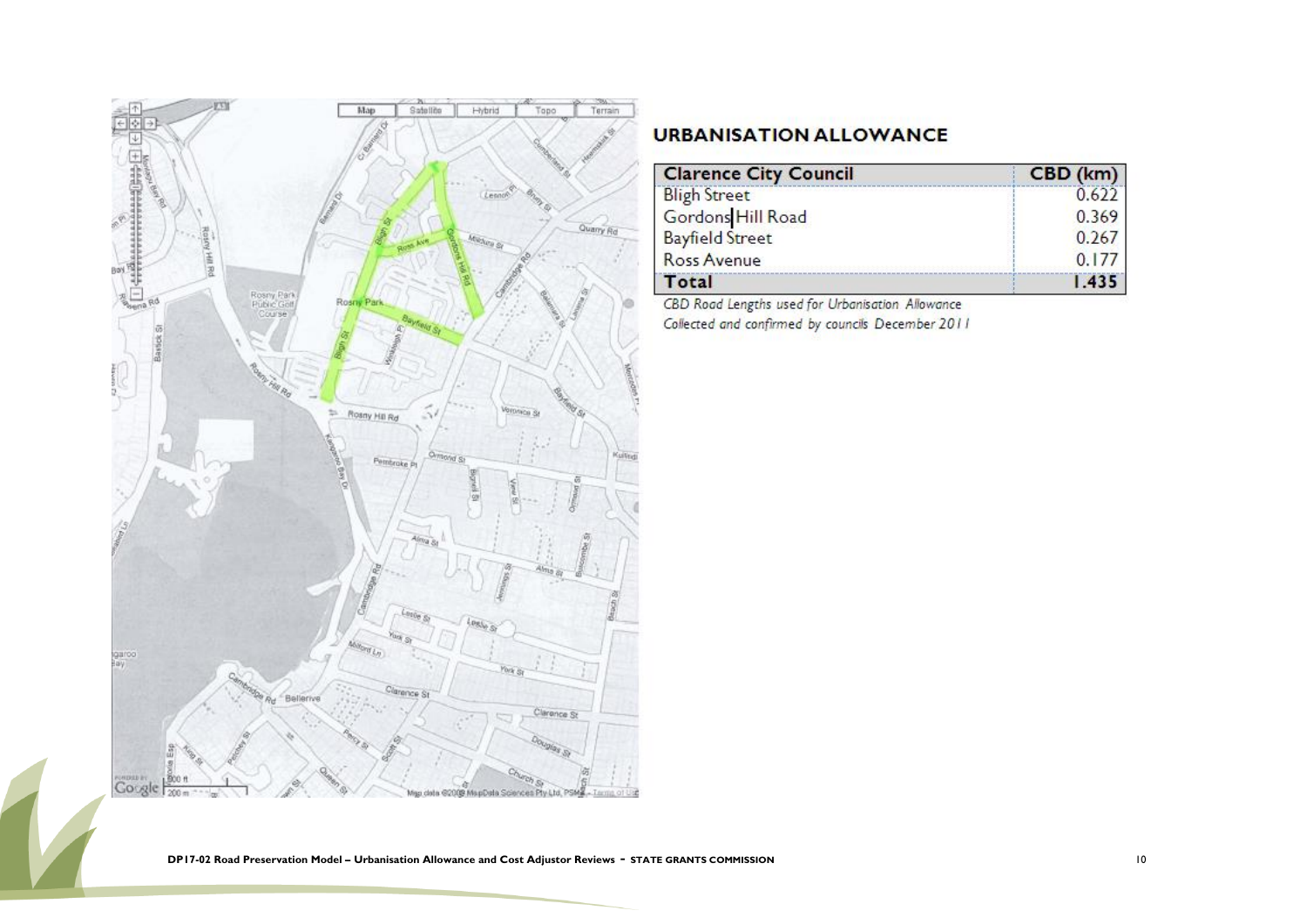

| <b>Clarence City Council</b> | CBD (km) |
|------------------------------|----------|
| <b>Bligh Street</b>          | 0.622    |
| Gordons Hill Road            | 0.369    |
| <b>Bayfield Street</b>       | 0.267    |
| Ross Avenue                  | 0.177    |
| Total                        | 1.435    |

CBD Road Lengths used for Urbanisation Allowance

Collected and confirmed by councils December 2011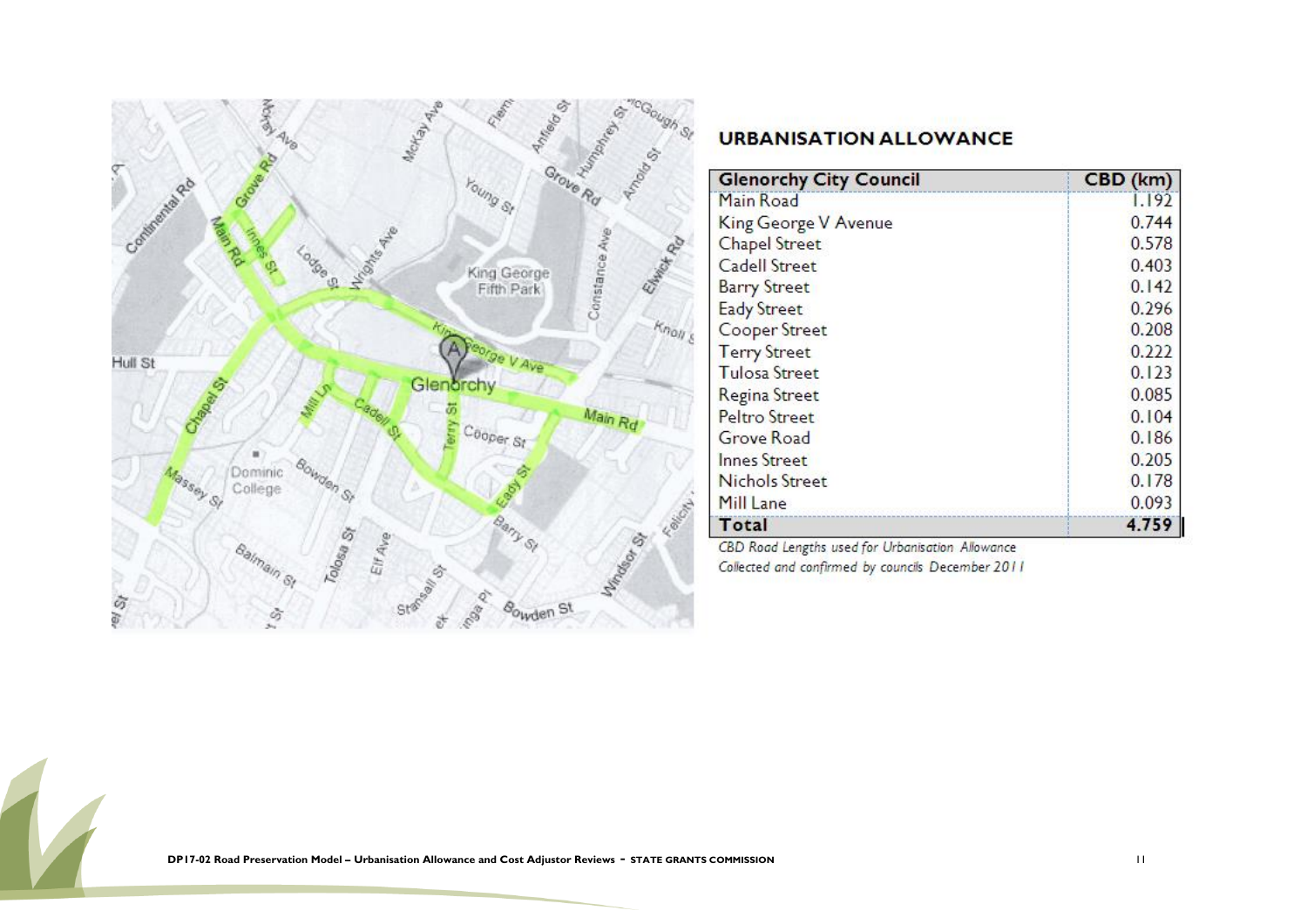

| <b>Glenorchy City Council</b> | CBD (km) |
|-------------------------------|----------|
| Main Road                     | 1.192    |
| King George V Avenue          | 0.744    |
| <b>Chapel Street</b>          | 0.578    |
| Cadell Street                 | 0.403    |
| <b>Barry Street</b>           | 0.142    |
| <b>Eady Street</b>            | 0.296    |
| Cooper Street                 | 0.208    |
| <b>Terry Street</b>           | 0.222    |
| <b>Tulosa Street</b>          | 0.123    |
| Regina Street                 | 0.085    |
| Peltro Street                 | 0.104    |
| Grove Road                    | 0.186    |
| <b>Innes Street</b>           | 0.205    |
| Nichols Street                | 0.178    |
| Mill Lane                     | 0.093    |
| Total                         | 4.759    |

CBD Road Lengths used for Urbanisation Allowance Collected and confirmed by councils December 2011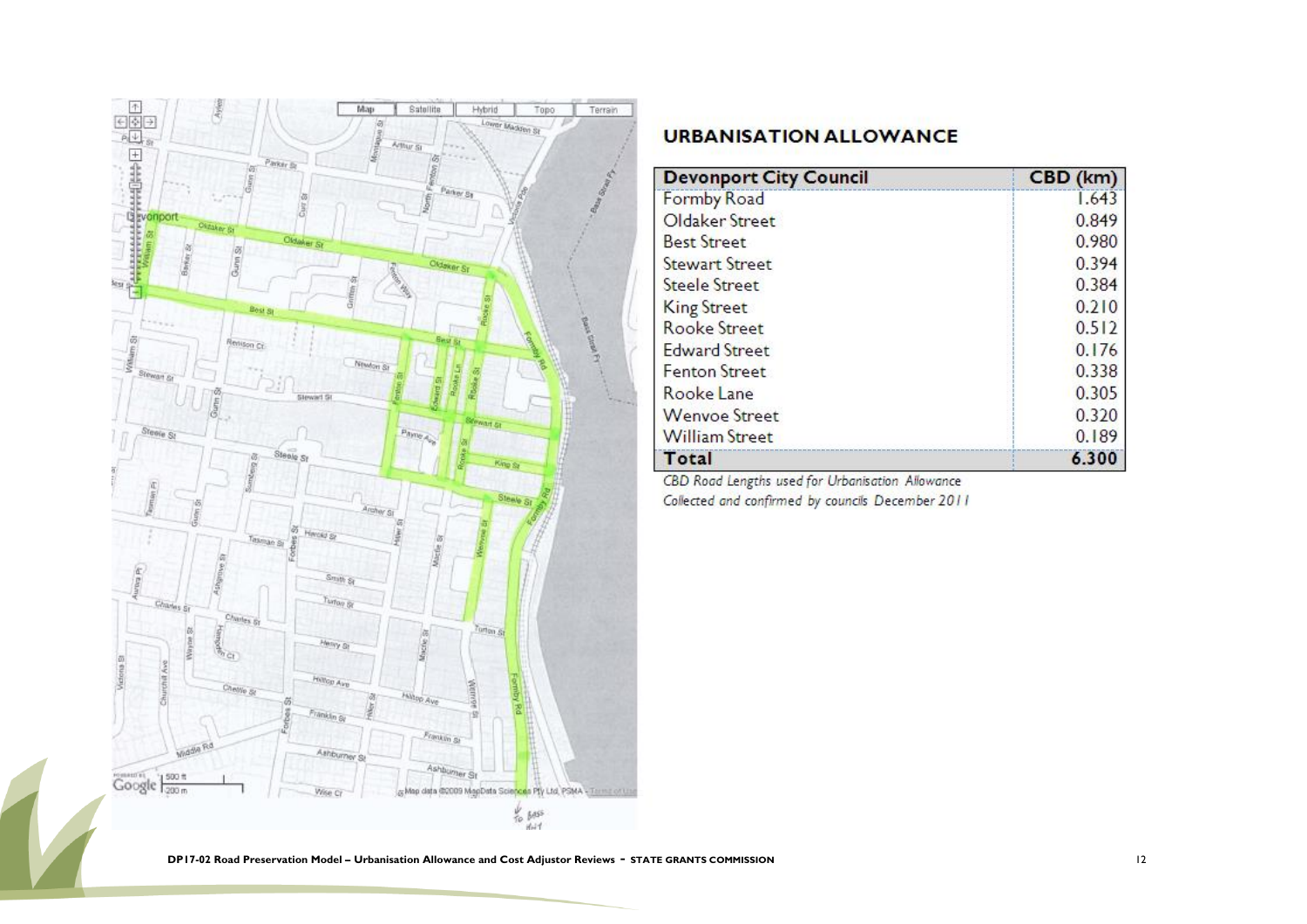

| <b>Devonport City Council</b> | CBD (km) |
|-------------------------------|----------|
| <b>Formby Road</b>            | 1.643    |
| Oldaker Street                | 0.849    |
| <b>Best Street</b>            | 0.980    |
| <b>Stewart Street</b>         | 0.394    |
| Steele Street                 | 0.384    |
| <b>King Street</b>            | 0.210    |
| <b>Rooke Street</b>           | 0.512    |
| <b>Edward Street</b>          | 0.176    |
| Fenton Street                 | 0.338    |
| Rooke Lane                    | 0.305    |
| <b>Wenvoe Street</b>          | 0.320    |
| <b>William Street</b>         | 0.189    |
| Total                         | 6.300    |

CBD Road Lengths used for Urbanisation Allowance Collected and confirmed by councils December 2011

**DP17-02 Road Preservation Model – Urbanisation Allowance and Cost Adjustor Reviews** - **STATE GRANTS COMMISSION** <sup>12</sup>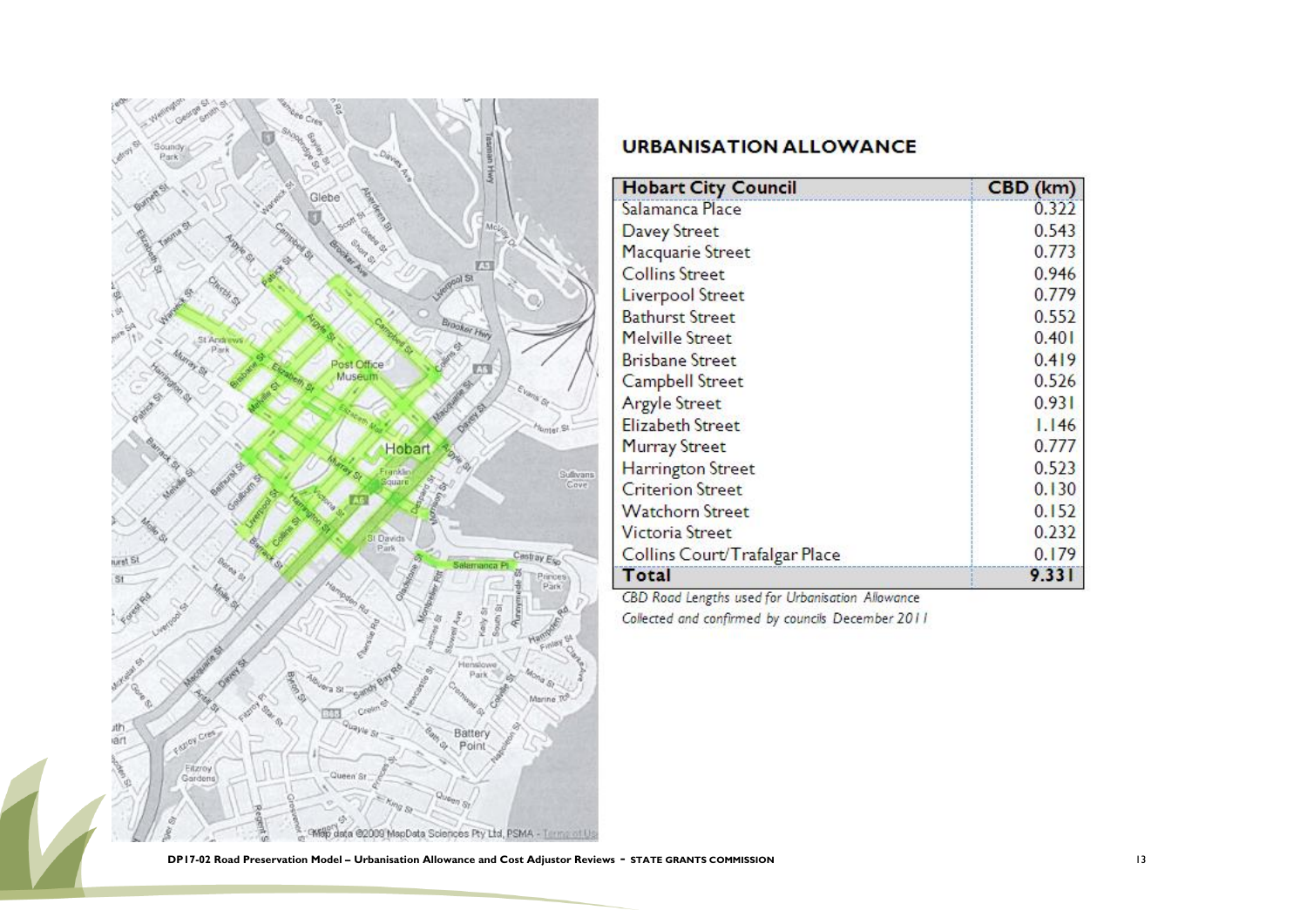

| <b>Hobart City Council</b>    | CBD (km) |
|-------------------------------|----------|
| Salamanca Place               | 0.322    |
| Davey Street                  | 0.543    |
| Macquarie Street              | 0.773    |
| <b>Collins Street</b>         | 0.946    |
| Liverpool Street              | 0.779    |
| <b>Bathurst Street</b>        | 0.552    |
| Melville Street               | 0.401    |
| <b>Brisbane Street</b>        | 0.419    |
| Campbell Street               | 0.526    |
| <b>Argyle Street</b>          | 0.931    |
| <b>Elizabeth Street</b>       | 1.146    |
| <b>Murray Street</b>          | 0.777    |
| <b>Harrington Street</b>      | 0.523    |
| <b>Criterion Street</b>       | 0.130    |
| <b>Watchorn Street</b>        | 0.152    |
| <b>Victoria Street</b>        | 0.232    |
| Collins Court/Trafalgar Place | 0.179    |
| Total                         | 9.331    |

CBD Road Lengths used for Urbanisation Allowance Collected and confirmed by councils December 2011

**DP17-02 Road Preservation Model – Urbanisation Allowance and Cost Adjustor Reviews** - **STATE GRANTS COMMISSION** <sup>13</sup>